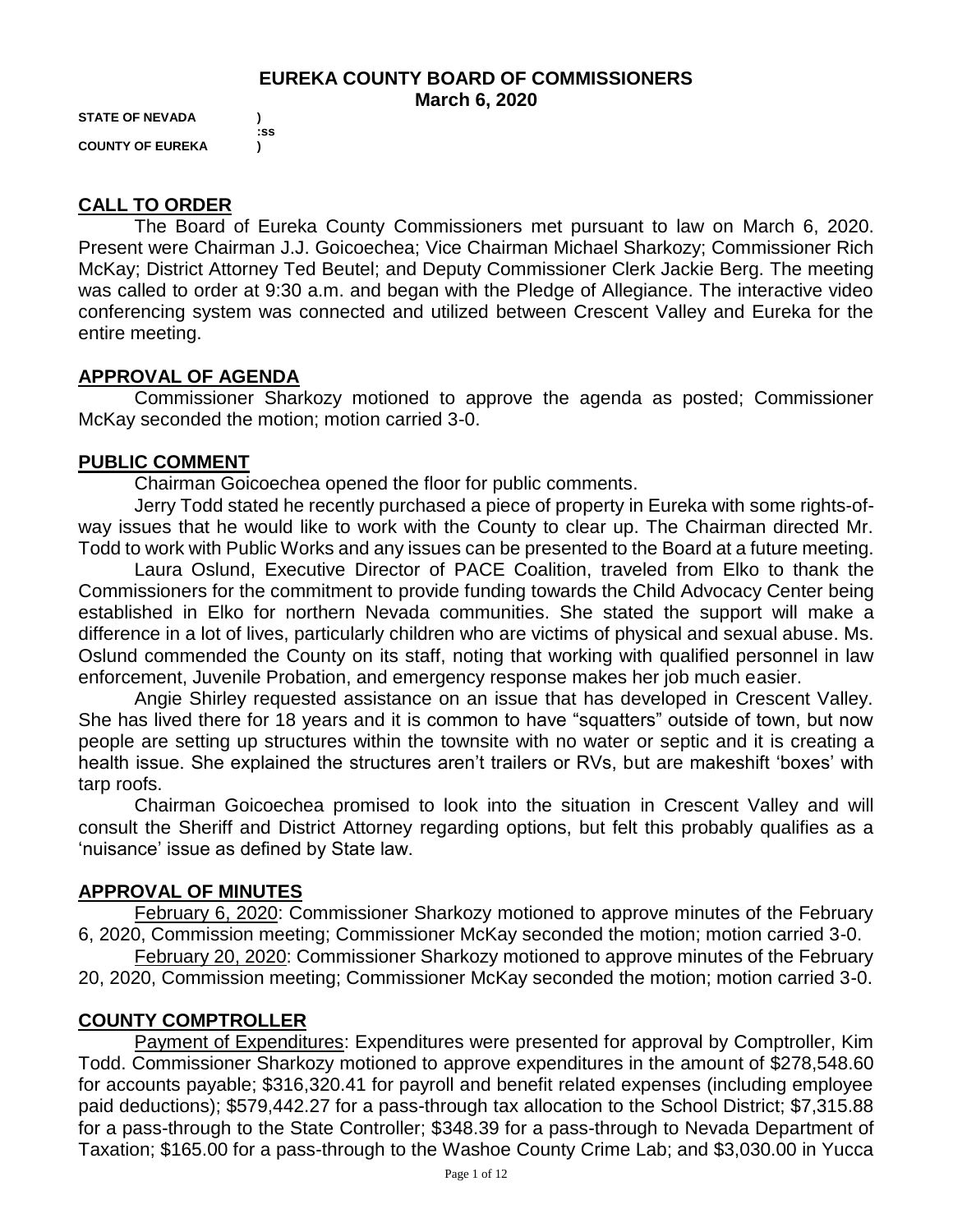### **EUREKA COUNTY BOARD OF COMMISSIONERS March 6, 2020**

**STATE OF NEVADA ) COUNTY OF EUREKA )**

 **:ss**

# **CALL TO ORDER**

The Board of Eureka County Commissioners met pursuant to law on March 6, 2020. Present were Chairman J.J. Goicoechea; Vice Chairman Michael Sharkozy; Commissioner Rich McKay; District Attorney Ted Beutel; and Deputy Commissioner Clerk Jackie Berg. The meeting was called to order at 9:30 a.m. and began with the Pledge of Allegiance. The interactive video conferencing system was connected and utilized between Crescent Valley and Eureka for the entire meeting.

# **APPROVAL OF AGENDA**

Commissioner Sharkozy motioned to approve the agenda as posted; Commissioner McKay seconded the motion; motion carried 3-0.

### **PUBLIC COMMENT**

Chairman Goicoechea opened the floor for public comments.

Jerry Todd stated he recently purchased a piece of property in Eureka with some rights-ofway issues that he would like to work with the County to clear up. The Chairman directed Mr. Todd to work with Public Works and any issues can be presented to the Board at a future meeting.

Laura Oslund, Executive Director of PACE Coalition, traveled from Elko to thank the Commissioners for the commitment to provide funding towards the Child Advocacy Center being established in Elko for northern Nevada communities. She stated the support will make a difference in a lot of lives, particularly children who are victims of physical and sexual abuse. Ms. Oslund commended the County on its staff, noting that working with qualified personnel in law enforcement, Juvenile Probation, and emergency response makes her job much easier.

Angie Shirley requested assistance on an issue that has developed in Crescent Valley. She has lived there for 18 years and it is common to have "squatters" outside of town, but now people are setting up structures within the townsite with no water or septic and it is creating a health issue. She explained the structures aren't trailers or RVs, but are makeshift 'boxes' with tarp roofs.

Chairman Goicoechea promised to look into the situation in Crescent Valley and will consult the Sheriff and District Attorney regarding options, but felt this probably qualifies as a 'nuisance' issue as defined by State law.

### **APPROVAL OF MINUTES**

February 6, 2020: Commissioner Sharkozy motioned to approve minutes of the February 6, 2020, Commission meeting; Commissioner McKay seconded the motion; motion carried 3-0.

February 20, 2020: Commissioner Sharkozy motioned to approve minutes of the February 20, 2020, Commission meeting; Commissioner McKay seconded the motion; motion carried 3-0.

# **COUNTY COMPTROLLER**

Payment of Expenditures: Expenditures were presented for approval by Comptroller, Kim Todd. Commissioner Sharkozy motioned to approve expenditures in the amount of \$278,548.60 for accounts payable; \$316,320.41 for payroll and benefit related expenses (including employee paid deductions); \$579,442.27 for a pass-through tax allocation to the School District; \$7,315.88 for a pass-through to the State Controller; \$348.39 for a pass-through to Nevada Department of Taxation; \$165.00 for a pass-through to the Washoe County Crime Lab; and \$3,030.00 in Yucca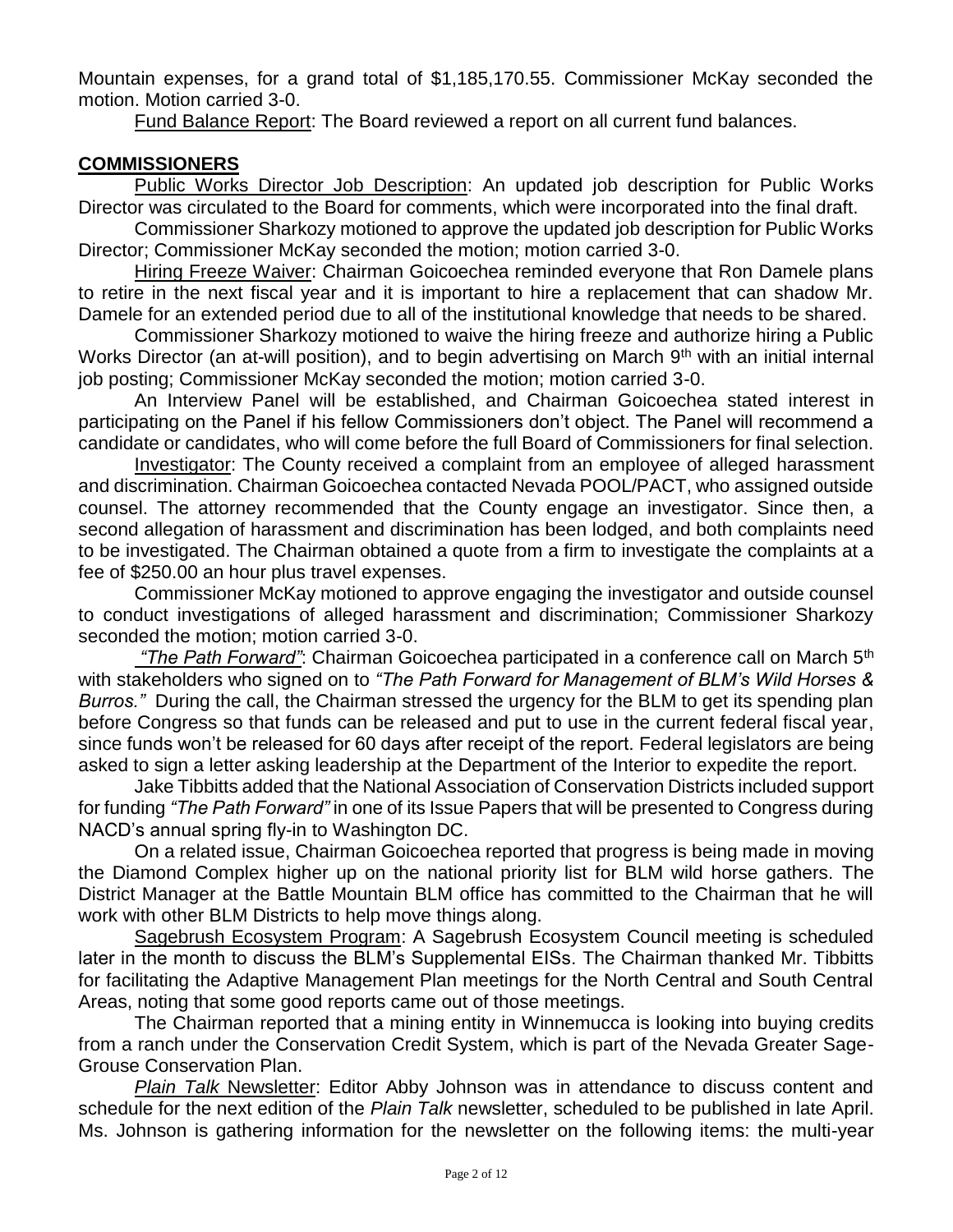Mountain expenses, for a grand total of \$1,185,170.55. Commissioner McKay seconded the motion. Motion carried 3-0.

Fund Balance Report: The Board reviewed a report on all current fund balances.

### **COMMISSIONERS**

Public Works Director Job Description: An updated job description for Public Works Director was circulated to the Board for comments, which were incorporated into the final draft.

Commissioner Sharkozy motioned to approve the updated job description for Public Works Director; Commissioner McKay seconded the motion; motion carried 3-0.

Hiring Freeze Waiver: Chairman Goicoechea reminded everyone that Ron Damele plans to retire in the next fiscal year and it is important to hire a replacement that can shadow Mr. Damele for an extended period due to all of the institutional knowledge that needs to be shared.

Commissioner Sharkozy motioned to waive the hiring freeze and authorize hiring a Public Works Director (an at-will position), and to begin advertising on March 9<sup>th</sup> with an initial internal job posting; Commissioner McKay seconded the motion; motion carried 3-0.

An Interview Panel will be established, and Chairman Goicoechea stated interest in participating on the Panel if his fellow Commissioners don't object. The Panel will recommend a candidate or candidates, who will come before the full Board of Commissioners for final selection.

Investigator: The County received a complaint from an employee of alleged harassment and discrimination. Chairman Goicoechea contacted Nevada POOL/PACT, who assigned outside counsel. The attorney recommended that the County engage an investigator. Since then, a second allegation of harassment and discrimination has been lodged, and both complaints need to be investigated. The Chairman obtained a quote from a firm to investigate the complaints at a fee of \$250.00 an hour plus travel expenses.

Commissioner McKay motioned to approve engaging the investigator and outside counsel to conduct investigations of alleged harassment and discrimination; Commissioner Sharkozy seconded the motion; motion carried 3-0.

*"The Path Forward"*: Chairman Goicoechea participated in a conference call on March 5th with stakeholders who signed on to *"The Path Forward for Management of BLM's Wild Horses & Burros."* During the call, the Chairman stressed the urgency for the BLM to get its spending plan before Congress so that funds can be released and put to use in the current federal fiscal year, since funds won't be released for 60 days after receipt of the report. Federal legislators are being asked to sign a letter asking leadership at the Department of the Interior to expedite the report.

Jake Tibbitts added that the National Association of Conservation Districts included support for funding *"The Path Forward"* in one of its Issue Papers that will be presented to Congress during NACD's annual spring fly-in to Washington DC.

On a related issue, Chairman Goicoechea reported that progress is being made in moving the Diamond Complex higher up on the national priority list for BLM wild horse gathers. The District Manager at the Battle Mountain BLM office has committed to the Chairman that he will work with other BLM Districts to help move things along.

Sagebrush Ecosystem Program: A Sagebrush Ecosystem Council meeting is scheduled later in the month to discuss the BLM's Supplemental EISs. The Chairman thanked Mr. Tibbitts for facilitating the Adaptive Management Plan meetings for the North Central and South Central Areas, noting that some good reports came out of those meetings.

The Chairman reported that a mining entity in Winnemucca is looking into buying credits from a ranch under the Conservation Credit System, which is part of the Nevada Greater Sage-Grouse Conservation Plan.

*Plain Talk* Newsletter: Editor Abby Johnson was in attendance to discuss content and schedule for the next edition of the *Plain Talk* newsletter, scheduled to be published in late April. Ms. Johnson is gathering information for the newsletter on the following items: the multi-year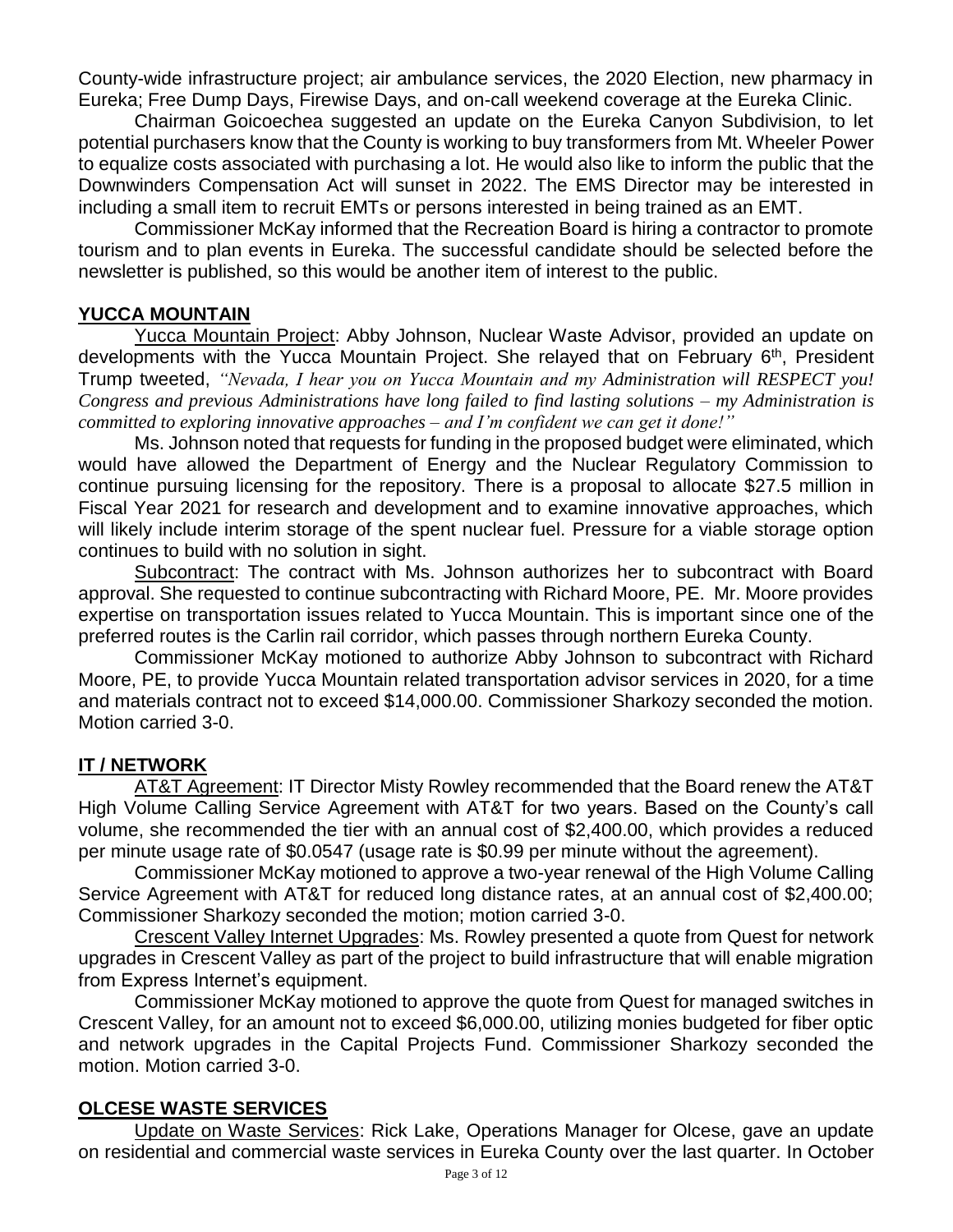County-wide infrastructure project; air ambulance services, the 2020 Election, new pharmacy in Eureka; Free Dump Days, Firewise Days, and on-call weekend coverage at the Eureka Clinic.

Chairman Goicoechea suggested an update on the Eureka Canyon Subdivision, to let potential purchasers know that the County is working to buy transformers from Mt. Wheeler Power to equalize costs associated with purchasing a lot. He would also like to inform the public that the Downwinders Compensation Act will sunset in 2022. The EMS Director may be interested in including a small item to recruit EMTs or persons interested in being trained as an EMT.

Commissioner McKay informed that the Recreation Board is hiring a contractor to promote tourism and to plan events in Eureka. The successful candidate should be selected before the newsletter is published, so this would be another item of interest to the public.

### **YUCCA MOUNTAIN**

Yucca Mountain Project: Abby Johnson, Nuclear Waste Advisor, provided an update on developments with the Yucca Mountain Project. She relayed that on February 6<sup>th</sup>, President Trump tweeted, *"Nevada, I hear you on Yucca Mountain and my Administration will RESPECT you! Congress and previous Administrations have long failed to find lasting solutions – my Administration is committed to exploring innovative approaches – and I'm confident we can get it done!"*

Ms. Johnson noted that requests for funding in the proposed budget were eliminated, which would have allowed the Department of Energy and the Nuclear Regulatory Commission to continue pursuing licensing for the repository. There is a proposal to allocate \$27.5 million in Fiscal Year 2021 for research and development and to examine innovative approaches, which will likely include interim storage of the spent nuclear fuel. Pressure for a viable storage option continues to build with no solution in sight.

Subcontract: The contract with Ms. Johnson authorizes her to subcontract with Board approval. She requested to continue subcontracting with Richard Moore, PE. Mr. Moore provides expertise on transportation issues related to Yucca Mountain. This is important since one of the preferred routes is the Carlin rail corridor, which passes through northern Eureka County.

Commissioner McKay motioned to authorize Abby Johnson to subcontract with Richard Moore, PE, to provide Yucca Mountain related transportation advisor services in 2020, for a time and materials contract not to exceed \$14,000.00. Commissioner Sharkozy seconded the motion. Motion carried 3-0.

# **IT / NETWORK**

AT&T Agreement: IT Director Misty Rowley recommended that the Board renew the AT&T High Volume Calling Service Agreement with AT&T for two years. Based on the County's call volume, she recommended the tier with an annual cost of \$2,400.00, which provides a reduced per minute usage rate of \$0.0547 (usage rate is \$0.99 per minute without the agreement).

Commissioner McKay motioned to approve a two-year renewal of the High Volume Calling Service Agreement with AT&T for reduced long distance rates, at an annual cost of \$2,400.00; Commissioner Sharkozy seconded the motion; motion carried 3-0.

Crescent Valley Internet Upgrades: Ms. Rowley presented a quote from Quest for network upgrades in Crescent Valley as part of the project to build infrastructure that will enable migration from Express Internet's equipment.

Commissioner McKay motioned to approve the quote from Quest for managed switches in Crescent Valley, for an amount not to exceed \$6,000.00, utilizing monies budgeted for fiber optic and network upgrades in the Capital Projects Fund. Commissioner Sharkozy seconded the motion. Motion carried 3-0.

### **OLCESE WASTE SERVICES**

Update on Waste Services: Rick Lake, Operations Manager for Olcese, gave an update on residential and commercial waste services in Eureka County over the last quarter. In October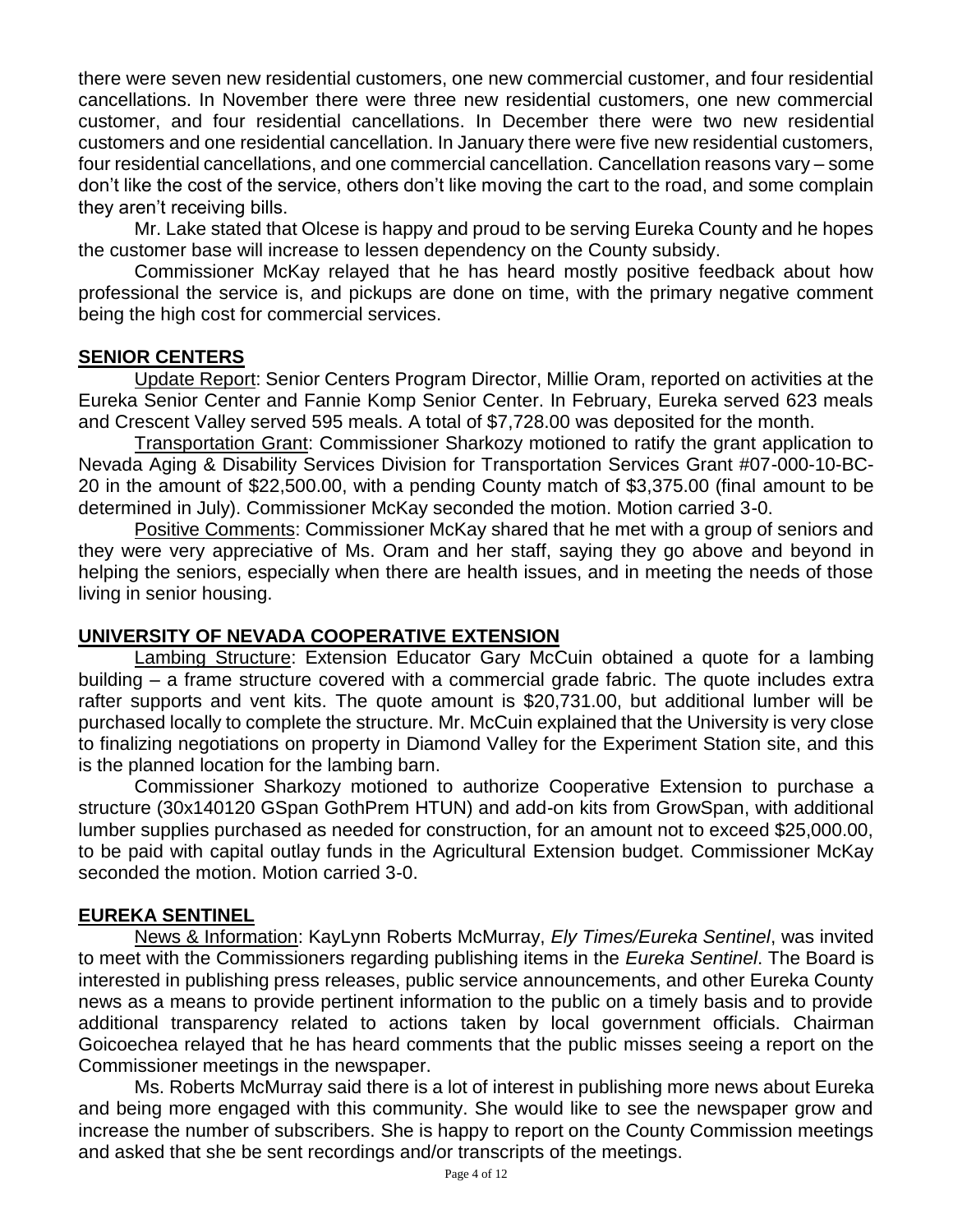there were seven new residential customers, one new commercial customer, and four residential cancellations. In November there were three new residential customers, one new commercial customer, and four residential cancellations. In December there were two new residential customers and one residential cancellation. In January there were five new residential customers, four residential cancellations, and one commercial cancellation. Cancellation reasons vary – some don't like the cost of the service, others don't like moving the cart to the road, and some complain they aren't receiving bills.

Mr. Lake stated that Olcese is happy and proud to be serving Eureka County and he hopes the customer base will increase to lessen dependency on the County subsidy.

Commissioner McKay relayed that he has heard mostly positive feedback about how professional the service is, and pickups are done on time, with the primary negative comment being the high cost for commercial services.

### **SENIOR CENTERS**

Update Report: Senior Centers Program Director, Millie Oram, reported on activities at the Eureka Senior Center and Fannie Komp Senior Center. In February, Eureka served 623 meals and Crescent Valley served 595 meals. A total of \$7,728.00 was deposited for the month.

Transportation Grant: Commissioner Sharkozy motioned to ratify the grant application to Nevada Aging & Disability Services Division for Transportation Services Grant #07-000-10-BC-20 in the amount of \$22,500.00, with a pending County match of \$3,375.00 (final amount to be determined in July). Commissioner McKay seconded the motion. Motion carried 3-0.

Positive Comments: Commissioner McKay shared that he met with a group of seniors and they were very appreciative of Ms. Oram and her staff, saying they go above and beyond in helping the seniors, especially when there are health issues, and in meeting the needs of those living in senior housing.

### **UNIVERSITY OF NEVADA COOPERATIVE EXTENSION**

Lambing Structure: Extension Educator Gary McCuin obtained a quote for a lambing building – a frame structure covered with a commercial grade fabric. The quote includes extra rafter supports and vent kits. The quote amount is \$20,731.00, but additional lumber will be purchased locally to complete the structure. Mr. McCuin explained that the University is very close to finalizing negotiations on property in Diamond Valley for the Experiment Station site, and this is the planned location for the lambing barn.

Commissioner Sharkozy motioned to authorize Cooperative Extension to purchase a structure (30x140120 GSpan GothPrem HTUN) and add-on kits from GrowSpan, with additional lumber supplies purchased as needed for construction, for an amount not to exceed \$25,000.00, to be paid with capital outlay funds in the Agricultural Extension budget. Commissioner McKay seconded the motion. Motion carried 3-0.

# **EUREKA SENTINEL**

News & Information: KayLynn Roberts McMurray, *Ely Times/Eureka Sentinel*, was invited to meet with the Commissioners regarding publishing items in the *Eureka Sentinel*. The Board is interested in publishing press releases, public service announcements, and other Eureka County news as a means to provide pertinent information to the public on a timely basis and to provide additional transparency related to actions taken by local government officials. Chairman Goicoechea relayed that he has heard comments that the public misses seeing a report on the Commissioner meetings in the newspaper.

Ms. Roberts McMurray said there is a lot of interest in publishing more news about Eureka and being more engaged with this community. She would like to see the newspaper grow and increase the number of subscribers. She is happy to report on the County Commission meetings and asked that she be sent recordings and/or transcripts of the meetings.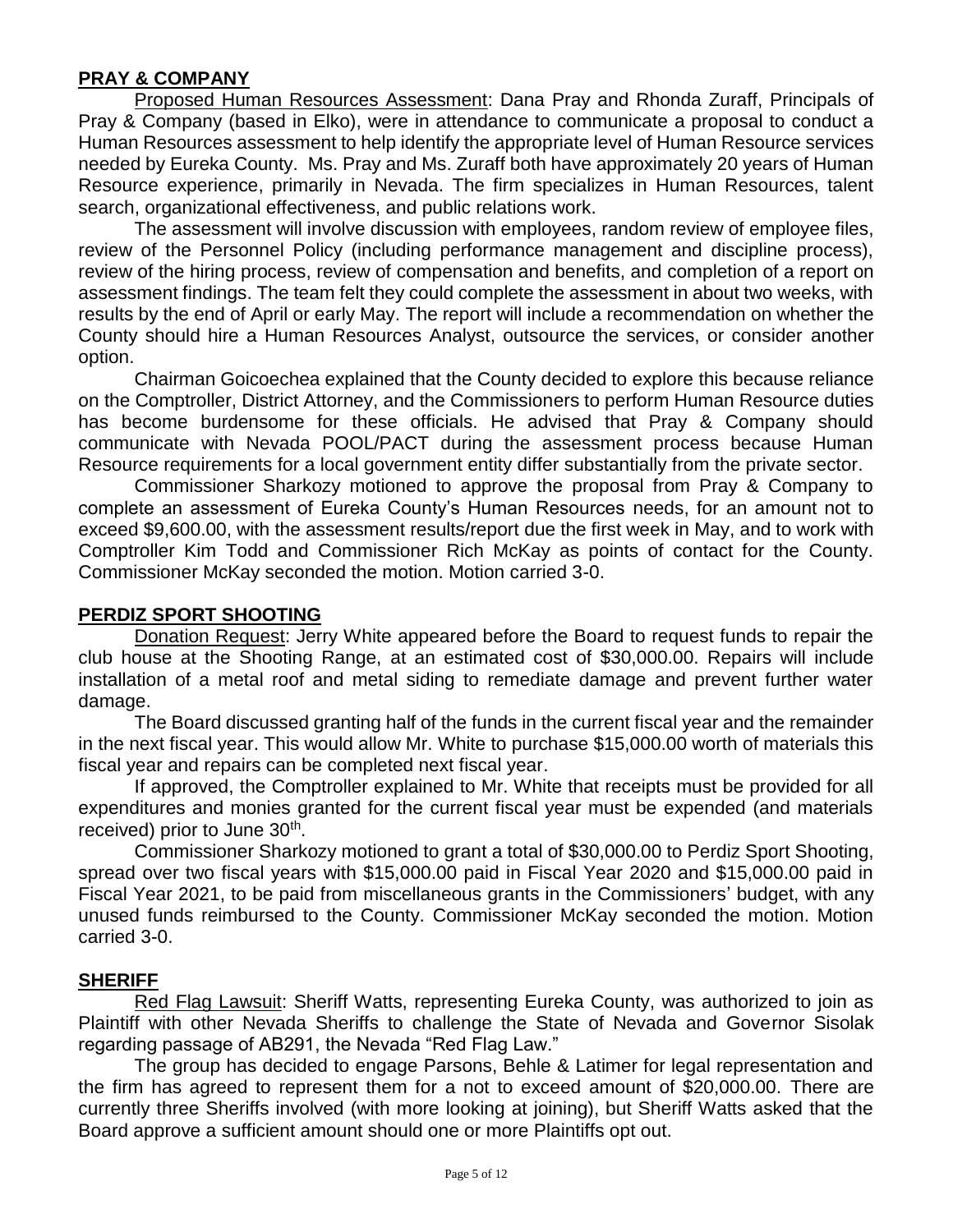### **PRAY & COMPANY**

Proposed Human Resources Assessment: Dana Pray and Rhonda Zuraff, Principals of Pray & Company (based in Elko), were in attendance to communicate a proposal to conduct a Human Resources assessment to help identify the appropriate level of Human Resource services needed by Eureka County. Ms. Pray and Ms. Zuraff both have approximately 20 years of Human Resource experience, primarily in Nevada. The firm specializes in Human Resources, talent search, organizational effectiveness, and public relations work.

The assessment will involve discussion with employees, random review of employee files, review of the Personnel Policy (including performance management and discipline process), review of the hiring process, review of compensation and benefits, and completion of a report on assessment findings. The team felt they could complete the assessment in about two weeks, with results by the end of April or early May. The report will include a recommendation on whether the County should hire a Human Resources Analyst, outsource the services, or consider another option.

Chairman Goicoechea explained that the County decided to explore this because reliance on the Comptroller, District Attorney, and the Commissioners to perform Human Resource duties has become burdensome for these officials. He advised that Pray & Company should communicate with Nevada POOL/PACT during the assessment process because Human Resource requirements for a local government entity differ substantially from the private sector.

Commissioner Sharkozy motioned to approve the proposal from Pray & Company to complete an assessment of Eureka County's Human Resources needs, for an amount not to exceed \$9,600.00, with the assessment results/report due the first week in May, and to work with Comptroller Kim Todd and Commissioner Rich McKay as points of contact for the County. Commissioner McKay seconded the motion. Motion carried 3-0.

#### **PERDIZ SPORT SHOOTING**

Donation Request: Jerry White appeared before the Board to request funds to repair the club house at the Shooting Range, at an estimated cost of \$30,000.00. Repairs will include installation of a metal roof and metal siding to remediate damage and prevent further water damage.

The Board discussed granting half of the funds in the current fiscal year and the remainder in the next fiscal year. This would allow Mr. White to purchase \$15,000.00 worth of materials this fiscal year and repairs can be completed next fiscal year.

If approved, the Comptroller explained to Mr. White that receipts must be provided for all expenditures and monies granted for the current fiscal year must be expended (and materials received) prior to June 30<sup>th</sup>.

Commissioner Sharkozy motioned to grant a total of \$30,000.00 to Perdiz Sport Shooting, spread over two fiscal years with \$15,000.00 paid in Fiscal Year 2020 and \$15,000.00 paid in Fiscal Year 2021, to be paid from miscellaneous grants in the Commissioners' budget, with any unused funds reimbursed to the County. Commissioner McKay seconded the motion. Motion carried 3-0.

#### **SHERIFF**

Red Flag Lawsuit: Sheriff Watts, representing Eureka County, was authorized to join as Plaintiff with other Nevada Sheriffs to challenge the State of Nevada and Governor Sisolak regarding passage of AB291, the Nevada "Red Flag Law."

The group has decided to engage Parsons, Behle & Latimer for legal representation and the firm has agreed to represent them for a not to exceed amount of \$20,000.00. There are currently three Sheriffs involved (with more looking at joining), but Sheriff Watts asked that the Board approve a sufficient amount should one or more Plaintiffs opt out.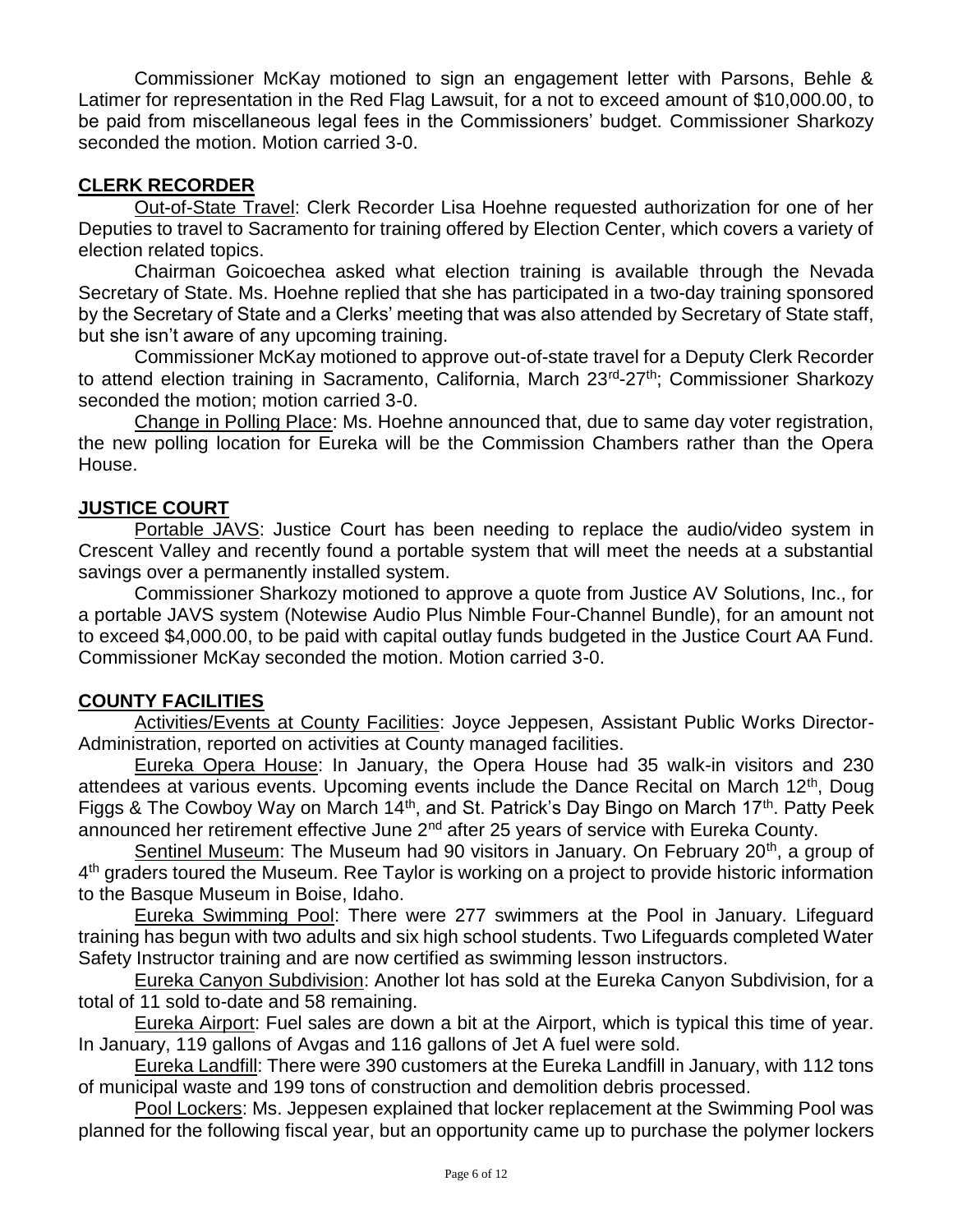Commissioner McKay motioned to sign an engagement letter with Parsons, Behle & Latimer for representation in the Red Flag Lawsuit, for a not to exceed amount of \$10,000.00, to be paid from miscellaneous legal fees in the Commissioners' budget. Commissioner Sharkozy seconded the motion. Motion carried 3-0.

### **CLERK RECORDER**

Out-of-State Travel: Clerk Recorder Lisa Hoehne requested authorization for one of her Deputies to travel to Sacramento for training offered by Election Center, which covers a variety of election related topics.

Chairman Goicoechea asked what election training is available through the Nevada Secretary of State. Ms. Hoehne replied that she has participated in a two-day training sponsored by the Secretary of State and a Clerks' meeting that was also attended by Secretary of State staff, but she isn't aware of any upcoming training.

Commissioner McKay motioned to approve out-of-state travel for a Deputy Clerk Recorder to attend election training in Sacramento, California, March 23<sup>rd</sup>-27<sup>th</sup>; Commissioner Sharkozy seconded the motion; motion carried 3-0.

Change in Polling Place: Ms. Hoehne announced that, due to same day voter registration, the new polling location for Eureka will be the Commission Chambers rather than the Opera House.

# **JUSTICE COURT**

Portable JAVS: Justice Court has been needing to replace the audio/video system in Crescent Valley and recently found a portable system that will meet the needs at a substantial savings over a permanently installed system.

Commissioner Sharkozy motioned to approve a quote from Justice AV Solutions, Inc., for a portable JAVS system (Notewise Audio Plus Nimble Four-Channel Bundle), for an amount not to exceed \$4,000.00, to be paid with capital outlay funds budgeted in the Justice Court AA Fund. Commissioner McKay seconded the motion. Motion carried 3-0.

### **COUNTY FACILITIES**

Activities/Events at County Facilities: Joyce Jeppesen, Assistant Public Works Director-Administration, reported on activities at County managed facilities.

Eureka Opera House: In January, the Opera House had 35 walk-in visitors and 230 attendees at various events. Upcoming events include the Dance Recital on March 12<sup>th</sup>, Doug Figgs & The Cowboy Way on March  $14<sup>th</sup>$ , and St. Patrick's Day Bingo on March  $17<sup>th</sup>$ . Patty Peek announced her retirement effective June 2<sup>nd</sup> after 25 years of service with Eureka County.

Sentinel Museum: The Museum had 90 visitors in January. On February 20<sup>th</sup>, a group of 4<sup>th</sup> graders toured the Museum. Ree Taylor is working on a project to provide historic information to the Basque Museum in Boise, Idaho.

Eureka Swimming Pool: There were 277 swimmers at the Pool in January. Lifeguard training has begun with two adults and six high school students. Two Lifeguards completed Water Safety Instructor training and are now certified as swimming lesson instructors.

Eureka Canyon Subdivision: Another lot has sold at the Eureka Canyon Subdivision, for a total of 11 sold to-date and 58 remaining.

Eureka Airport: Fuel sales are down a bit at the Airport, which is typical this time of year. In January, 119 gallons of Avgas and 116 gallons of Jet A fuel were sold.

Eureka Landfill: There were 390 customers at the Eureka Landfill in January, with 112 tons of municipal waste and 199 tons of construction and demolition debris processed.

Pool Lockers: Ms. Jeppesen explained that locker replacement at the Swimming Pool was planned for the following fiscal year, but an opportunity came up to purchase the polymer lockers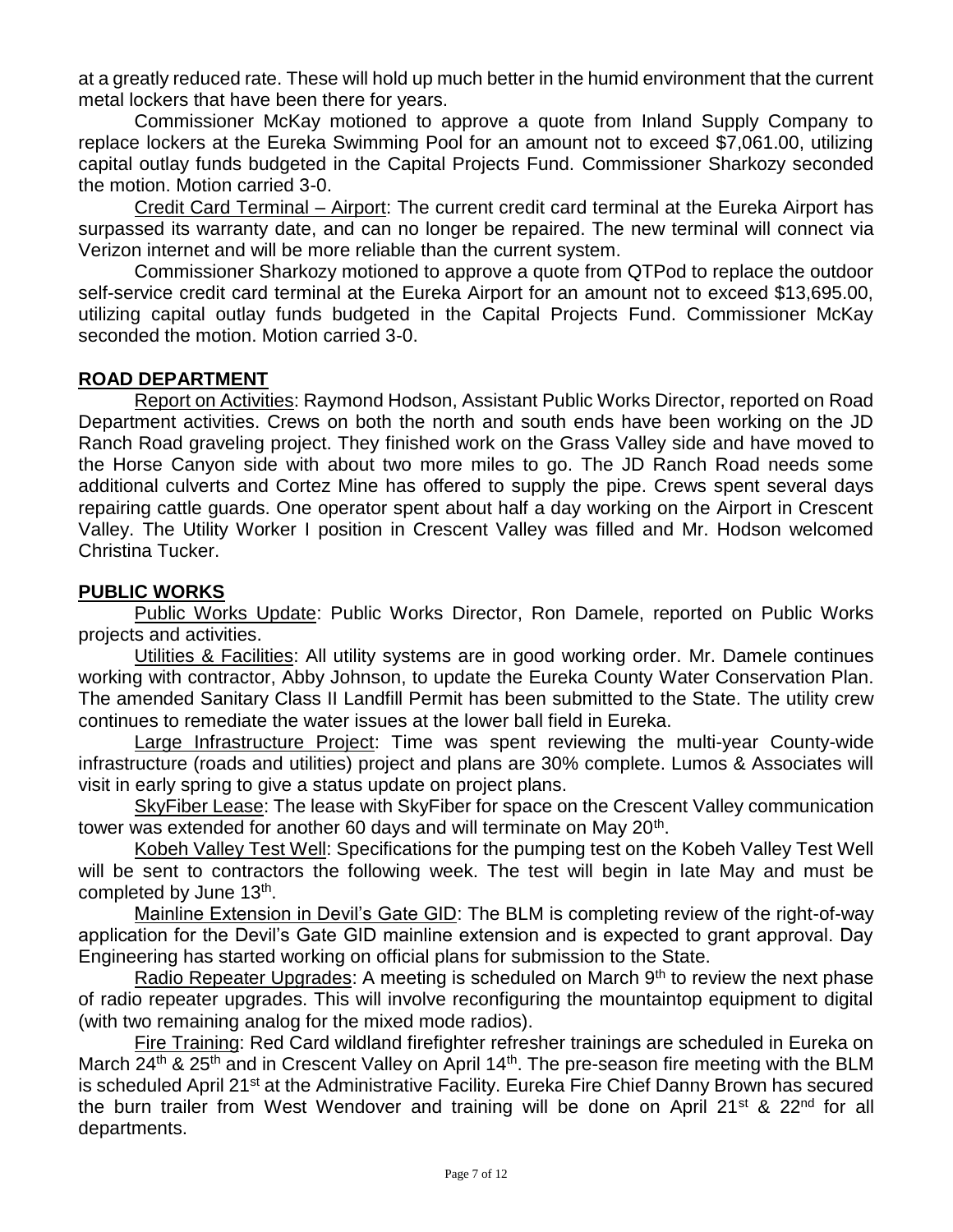at a greatly reduced rate. These will hold up much better in the humid environment that the current metal lockers that have been there for years.

Commissioner McKay motioned to approve a quote from Inland Supply Company to replace lockers at the Eureka Swimming Pool for an amount not to exceed \$7,061.00, utilizing capital outlay funds budgeted in the Capital Projects Fund. Commissioner Sharkozy seconded the motion. Motion carried 3-0.

Credit Card Terminal – Airport: The current credit card terminal at the Eureka Airport has surpassed its warranty date, and can no longer be repaired. The new terminal will connect via Verizon internet and will be more reliable than the current system.

Commissioner Sharkozy motioned to approve a quote from QTPod to replace the outdoor self-service credit card terminal at the Eureka Airport for an amount not to exceed \$13,695.00, utilizing capital outlay funds budgeted in the Capital Projects Fund. Commissioner McKay seconded the motion. Motion carried 3-0.

#### **ROAD DEPARTMENT**

Report on Activities: Raymond Hodson, Assistant Public Works Director, reported on Road Department activities. Crews on both the north and south ends have been working on the JD Ranch Road graveling project. They finished work on the Grass Valley side and have moved to the Horse Canyon side with about two more miles to go. The JD Ranch Road needs some additional culverts and Cortez Mine has offered to supply the pipe. Crews spent several days repairing cattle guards. One operator spent about half a day working on the Airport in Crescent Valley. The Utility Worker I position in Crescent Valley was filled and Mr. Hodson welcomed Christina Tucker.

#### **PUBLIC WORKS**

Public Works Update: Public Works Director, Ron Damele, reported on Public Works projects and activities.

Utilities & Facilities: All utility systems are in good working order. Mr. Damele continues working with contractor, Abby Johnson, to update the Eureka County Water Conservation Plan. The amended Sanitary Class II Landfill Permit has been submitted to the State. The utility crew continues to remediate the water issues at the lower ball field in Eureka.

Large Infrastructure Project: Time was spent reviewing the multi-year County-wide infrastructure (roads and utilities) project and plans are 30% complete. Lumos & Associates will visit in early spring to give a status update on project plans.

SkyFiber Lease: The lease with SkyFiber for space on the Crescent Valley communication tower was extended for another 60 days and will terminate on May 20<sup>th</sup>.

Kobeh Valley Test Well: Specifications for the pumping test on the Kobeh Valley Test Well will be sent to contractors the following week. The test will begin in late May and must be completed by June 13<sup>th</sup>.

Mainline Extension in Devil's Gate GID: The BLM is completing review of the right-of-way application for the Devil's Gate GID mainline extension and is expected to grant approval. Day Engineering has started working on official plans for submission to the State.

Radio Repeater Upgrades: A meeting is scheduled on March  $9<sup>th</sup>$  to review the next phase of radio repeater upgrades. This will involve reconfiguring the mountaintop equipment to digital (with two remaining analog for the mixed mode radios).

Fire Training: Red Card wildland firefighter refresher trainings are scheduled in Eureka on March 24<sup>th</sup> & 25<sup>th</sup> and in Crescent Valley on April 14<sup>th</sup>. The pre-season fire meeting with the BLM is scheduled April 21<sup>st</sup> at the Administrative Facility. Eureka Fire Chief Danny Brown has secured the burn trailer from West Wendover and training will be done on April 21<sup>st</sup> & 22<sup>nd</sup> for all departments.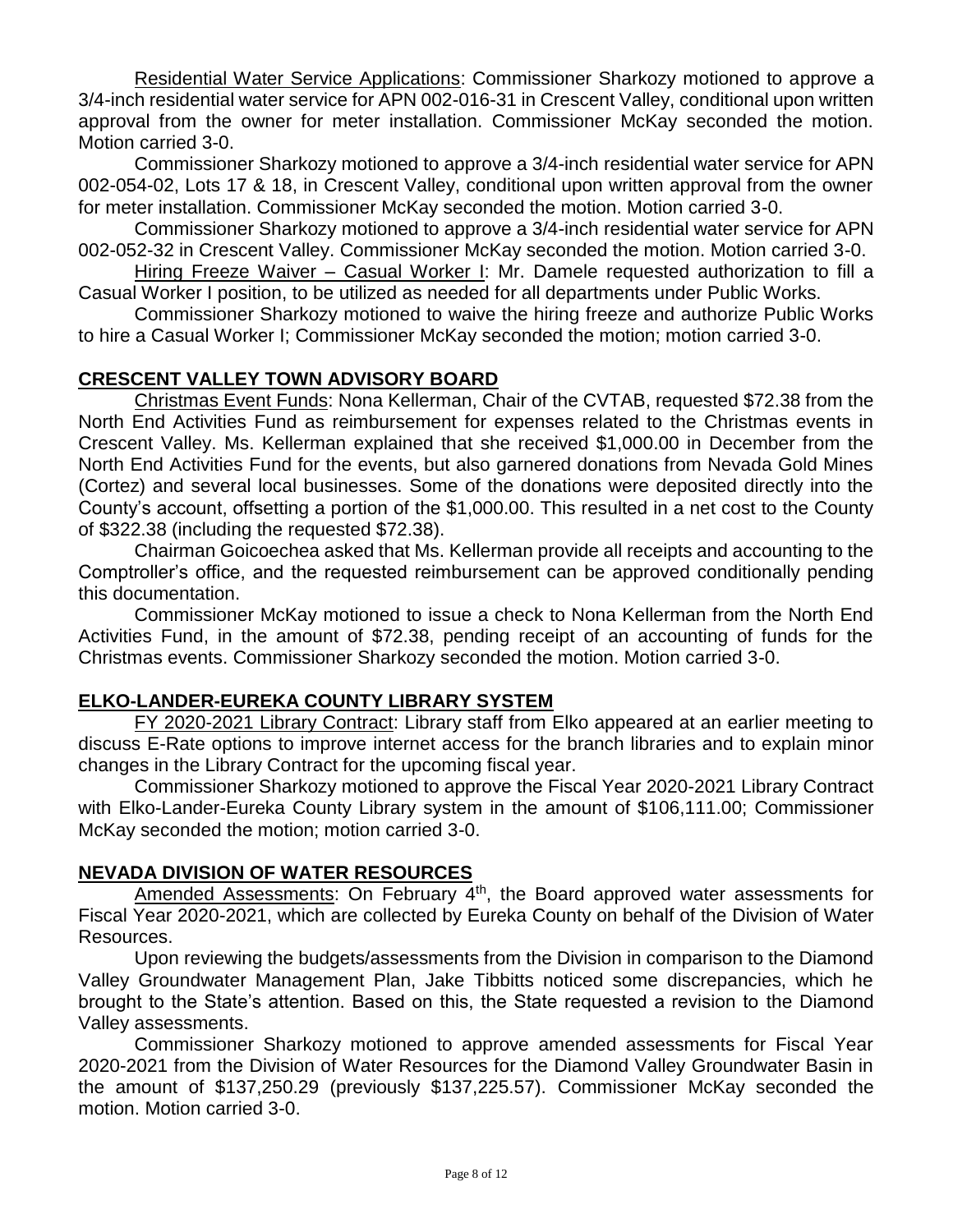Residential Water Service Applications: Commissioner Sharkozy motioned to approve a 3/4-inch residential water service for APN 002-016-31 in Crescent Valley, conditional upon written approval from the owner for meter installation. Commissioner McKay seconded the motion. Motion carried 3-0.

Commissioner Sharkozy motioned to approve a 3/4-inch residential water service for APN 002-054-02, Lots 17 & 18, in Crescent Valley, conditional upon written approval from the owner for meter installation. Commissioner McKay seconded the motion. Motion carried 3-0.

Commissioner Sharkozy motioned to approve a 3/4-inch residential water service for APN 002-052-32 in Crescent Valley. Commissioner McKay seconded the motion. Motion carried 3-0.

Hiring Freeze Waiver – Casual Worker I: Mr. Damele requested authorization to fill a Casual Worker I position, to be utilized as needed for all departments under Public Works.

Commissioner Sharkozy motioned to waive the hiring freeze and authorize Public Works to hire a Casual Worker I; Commissioner McKay seconded the motion; motion carried 3-0.

# **CRESCENT VALLEY TOWN ADVISORY BOARD**

Christmas Event Funds: Nona Kellerman, Chair of the CVTAB, requested \$72.38 from the North End Activities Fund as reimbursement for expenses related to the Christmas events in Crescent Valley. Ms. Kellerman explained that she received \$1,000.00 in December from the North End Activities Fund for the events, but also garnered donations from Nevada Gold Mines (Cortez) and several local businesses. Some of the donations were deposited directly into the County's account, offsetting a portion of the \$1,000.00. This resulted in a net cost to the County of \$322.38 (including the requested \$72.38).

Chairman Goicoechea asked that Ms. Kellerman provide all receipts and accounting to the Comptroller's office, and the requested reimbursement can be approved conditionally pending this documentation.

Commissioner McKay motioned to issue a check to Nona Kellerman from the North End Activities Fund, in the amount of \$72.38, pending receipt of an accounting of funds for the Christmas events. Commissioner Sharkozy seconded the motion. Motion carried 3-0.

### **ELKO-LANDER-EUREKA COUNTY LIBRARY SYSTEM**

FY 2020-2021 Library Contract: Library staff from Elko appeared at an earlier meeting to discuss E-Rate options to improve internet access for the branch libraries and to explain minor changes in the Library Contract for the upcoming fiscal year.

Commissioner Sharkozy motioned to approve the Fiscal Year 2020-2021 Library Contract with Elko-Lander-Eureka County Library system in the amount of \$106,111.00; Commissioner McKay seconded the motion; motion carried 3-0.

### **NEVADA DIVISION OF WATER RESOURCES**

Amended Assessments: On February 4<sup>th</sup>, the Board approved water assessments for Fiscal Year 2020-2021, which are collected by Eureka County on behalf of the Division of Water Resources.

Upon reviewing the budgets/assessments from the Division in comparison to the Diamond Valley Groundwater Management Plan, Jake Tibbitts noticed some discrepancies, which he brought to the State's attention. Based on this, the State requested a revision to the Diamond Valley assessments.

Commissioner Sharkozy motioned to approve amended assessments for Fiscal Year 2020-2021 from the Division of Water Resources for the Diamond Valley Groundwater Basin in the amount of \$137,250.29 (previously \$137,225.57). Commissioner McKay seconded the motion. Motion carried 3-0.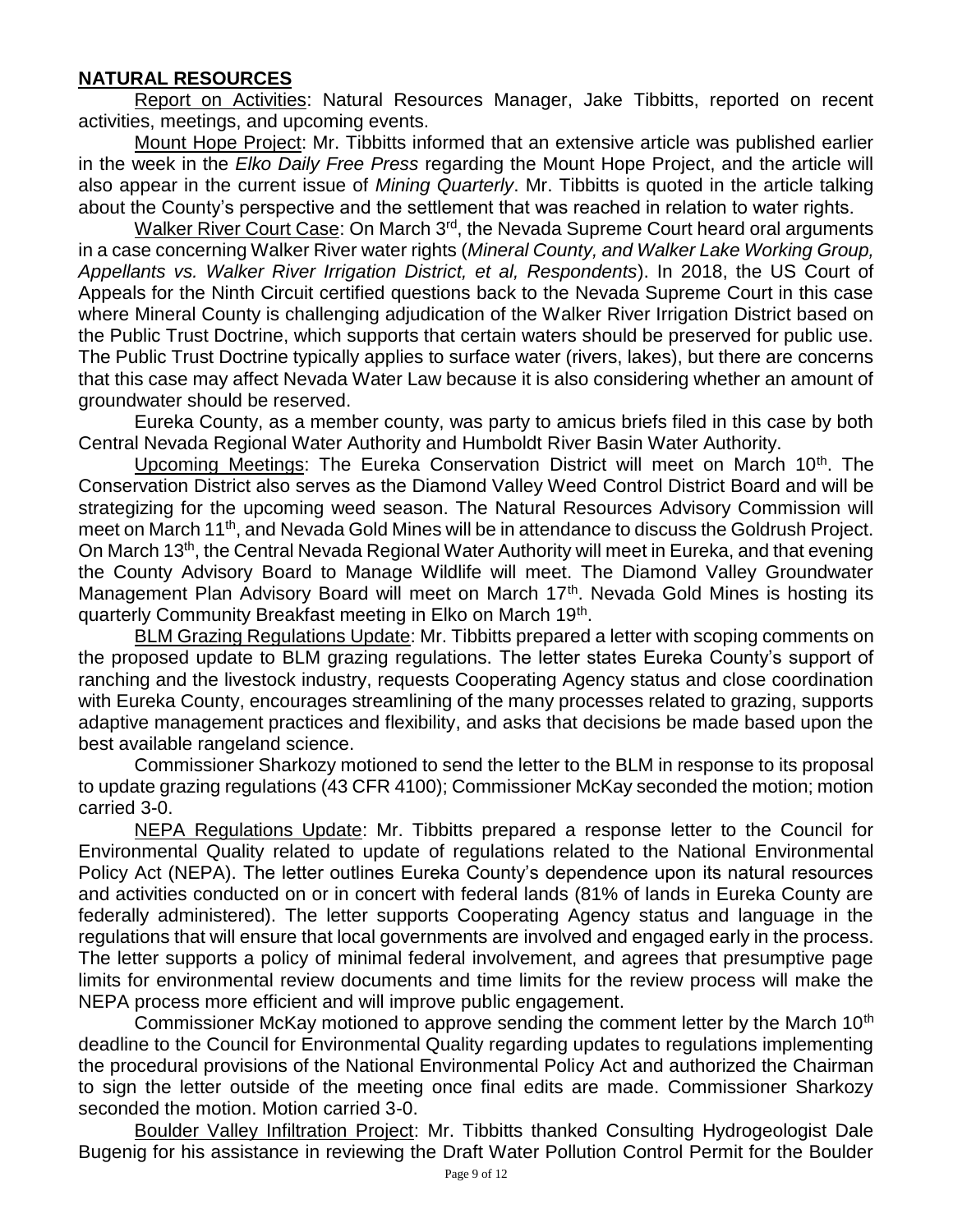#### **NATURAL RESOURCES**

Report on Activities: Natural Resources Manager, Jake Tibbitts, reported on recent activities, meetings, and upcoming events.

Mount Hope Project: Mr. Tibbitts informed that an extensive article was published earlier in the week in the *Elko Daily Free Press* regarding the Mount Hope Project, and the article will also appear in the current issue of *Mining Quarterly*. Mr. Tibbitts is quoted in the article talking about the County's perspective and the settlement that was reached in relation to water rights.

Walker River Court Case: On March 3<sup>rd</sup>, the Nevada Supreme Court heard oral arguments in a case concerning Walker River water rights (*Mineral County, and Walker Lake Working Group, Appellants vs. Walker River Irrigation District, et al, Respondents*). In 2018, the US Court of Appeals for the Ninth Circuit certified questions back to the Nevada Supreme Court in this case where Mineral County is challenging adjudication of the Walker River Irrigation District based on the Public Trust Doctrine, which supports that certain waters should be preserved for public use. The Public Trust Doctrine typically applies to surface water (rivers, lakes), but there are concerns that this case may affect Nevada Water Law because it is also considering whether an amount of groundwater should be reserved.

Eureka County, as a member county, was party to amicus briefs filed in this case by both Central Nevada Regional Water Authority and Humboldt River Basin Water Authority.

Upcoming Meetings: The Eureka Conservation District will meet on March 10<sup>th</sup>. The Conservation District also serves as the Diamond Valley Weed Control District Board and will be strategizing for the upcoming weed season. The Natural Resources Advisory Commission will meet on March 11th, and Nevada Gold Mines will be in attendance to discuss the Goldrush Project. On March 13<sup>th</sup>, the Central Nevada Regional Water Authority will meet in Eureka, and that evening the County Advisory Board to Manage Wildlife will meet. The Diamond Valley Groundwater Management Plan Advisory Board will meet on March 17<sup>th</sup>. Nevada Gold Mines is hosting its quarterly Community Breakfast meeting in Elko on March 19<sup>th</sup>.

BLM Grazing Regulations Update: Mr. Tibbitts prepared a letter with scoping comments on the proposed update to BLM grazing regulations. The letter states Eureka County's support of ranching and the livestock industry, requests Cooperating Agency status and close coordination with Eureka County, encourages streamlining of the many processes related to grazing, supports adaptive management practices and flexibility, and asks that decisions be made based upon the best available rangeland science.

Commissioner Sharkozy motioned to send the letter to the BLM in response to its proposal to update grazing regulations (43 CFR 4100); Commissioner McKay seconded the motion; motion carried 3-0.

NEPA Regulations Update: Mr. Tibbitts prepared a response letter to the Council for Environmental Quality related to update of regulations related to the National Environmental Policy Act (NEPA). The letter outlines Eureka County's dependence upon its natural resources and activities conducted on or in concert with federal lands (81% of lands in Eureka County are federally administered). The letter supports Cooperating Agency status and language in the regulations that will ensure that local governments are involved and engaged early in the process. The letter supports a policy of minimal federal involvement, and agrees that presumptive page limits for environmental review documents and time limits for the review process will make the NEPA process more efficient and will improve public engagement.

Commissioner McKay motioned to approve sending the comment letter by the March 10<sup>th</sup> deadline to the Council for Environmental Quality regarding updates to regulations implementing the procedural provisions of the National Environmental Policy Act and authorized the Chairman to sign the letter outside of the meeting once final edits are made. Commissioner Sharkozy seconded the motion. Motion carried 3-0.

Boulder Valley Infiltration Project: Mr. Tibbitts thanked Consulting Hydrogeologist Dale Bugenig for his assistance in reviewing the Draft Water Pollution Control Permit for the Boulder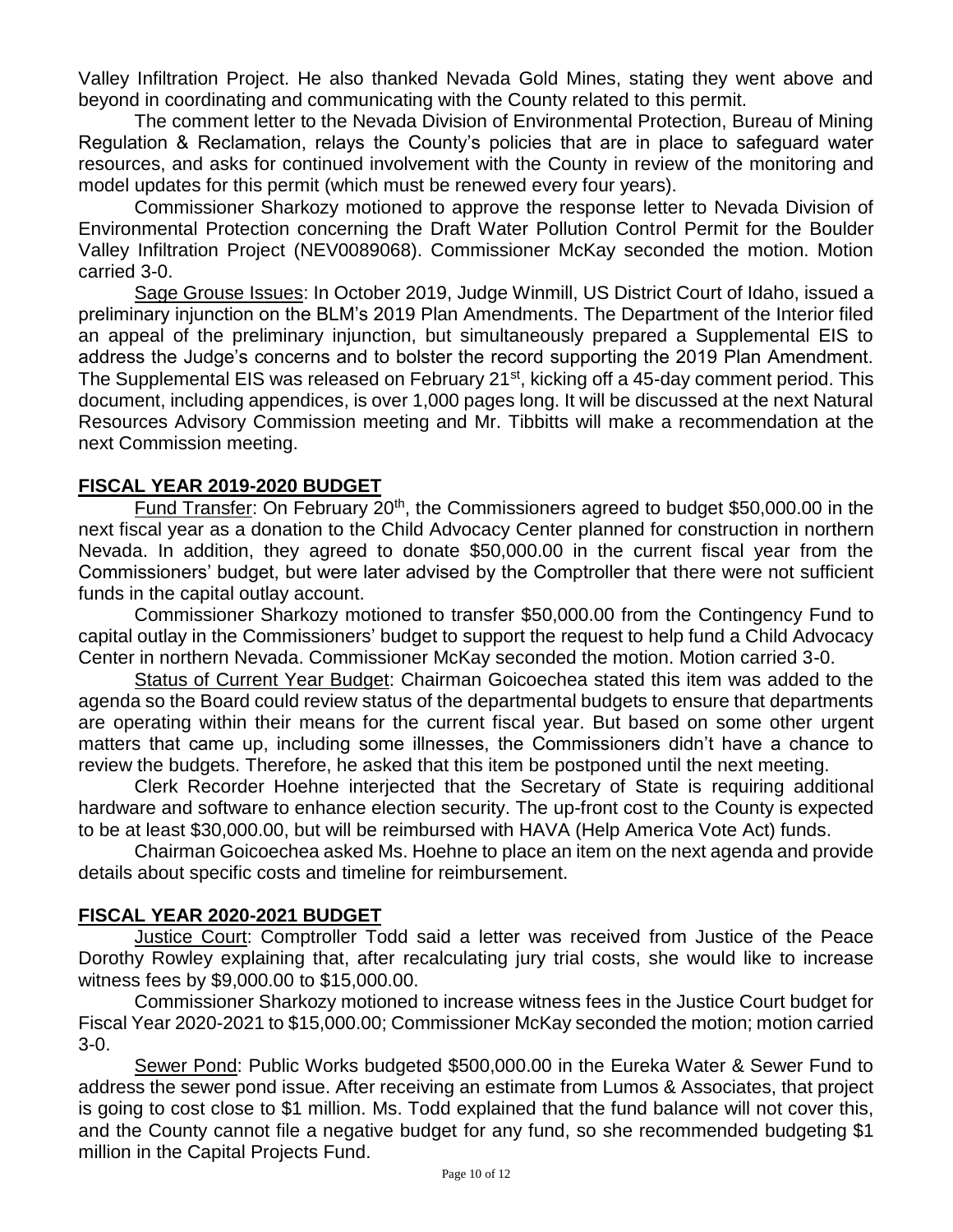Valley Infiltration Project. He also thanked Nevada Gold Mines, stating they went above and beyond in coordinating and communicating with the County related to this permit.

The comment letter to the Nevada Division of Environmental Protection, Bureau of Mining Regulation & Reclamation, relays the County's policies that are in place to safeguard water resources, and asks for continued involvement with the County in review of the monitoring and model updates for this permit (which must be renewed every four years).

Commissioner Sharkozy motioned to approve the response letter to Nevada Division of Environmental Protection concerning the Draft Water Pollution Control Permit for the Boulder Valley Infiltration Project (NEV0089068). Commissioner McKay seconded the motion. Motion carried 3-0.

Sage Grouse Issues: In October 2019, Judge Winmill, US District Court of Idaho, issued a preliminary injunction on the BLM's 2019 Plan Amendments. The Department of the Interior filed an appeal of the preliminary injunction, but simultaneously prepared a Supplemental EIS to address the Judge's concerns and to bolster the record supporting the 2019 Plan Amendment. The Supplemental EIS was released on February 21<sup>st</sup>, kicking off a 45-day comment period. This document, including appendices, is over 1,000 pages long. It will be discussed at the next Natural Resources Advisory Commission meeting and Mr. Tibbitts will make a recommendation at the next Commission meeting.

# **FISCAL YEAR 2019-2020 BUDGET**

Fund Transfer: On February 20<sup>th</sup>, the Commissioners agreed to budget \$50,000.00 in the next fiscal year as a donation to the Child Advocacy Center planned for construction in northern Nevada. In addition, they agreed to donate \$50,000.00 in the current fiscal year from the Commissioners' budget, but were later advised by the Comptroller that there were not sufficient funds in the capital outlay account.

Commissioner Sharkozy motioned to transfer \$50,000.00 from the Contingency Fund to capital outlay in the Commissioners' budget to support the request to help fund a Child Advocacy Center in northern Nevada. Commissioner McKay seconded the motion. Motion carried 3-0.

Status of Current Year Budget: Chairman Goicoechea stated this item was added to the agenda so the Board could review status of the departmental budgets to ensure that departments are operating within their means for the current fiscal year. But based on some other urgent matters that came up, including some illnesses, the Commissioners didn't have a chance to review the budgets. Therefore, he asked that this item be postponed until the next meeting.

Clerk Recorder Hoehne interjected that the Secretary of State is requiring additional hardware and software to enhance election security. The up-front cost to the County is expected to be at least \$30,000.00, but will be reimbursed with HAVA (Help America Vote Act) funds.

Chairman Goicoechea asked Ms. Hoehne to place an item on the next agenda and provide details about specific costs and timeline for reimbursement.

### **FISCAL YEAR 2020-2021 BUDGET**

Justice Court: Comptroller Todd said a letter was received from Justice of the Peace Dorothy Rowley explaining that, after recalculating jury trial costs, she would like to increase witness fees by \$9,000.00 to \$15,000.00.

Commissioner Sharkozy motioned to increase witness fees in the Justice Court budget for Fiscal Year 2020-2021 to \$15,000.00; Commissioner McKay seconded the motion; motion carried 3-0.

Sewer Pond: Public Works budgeted \$500,000.00 in the Eureka Water & Sewer Fund to address the sewer pond issue. After receiving an estimate from Lumos & Associates, that project is going to cost close to \$1 million. Ms. Todd explained that the fund balance will not cover this, and the County cannot file a negative budget for any fund, so she recommended budgeting \$1 million in the Capital Projects Fund.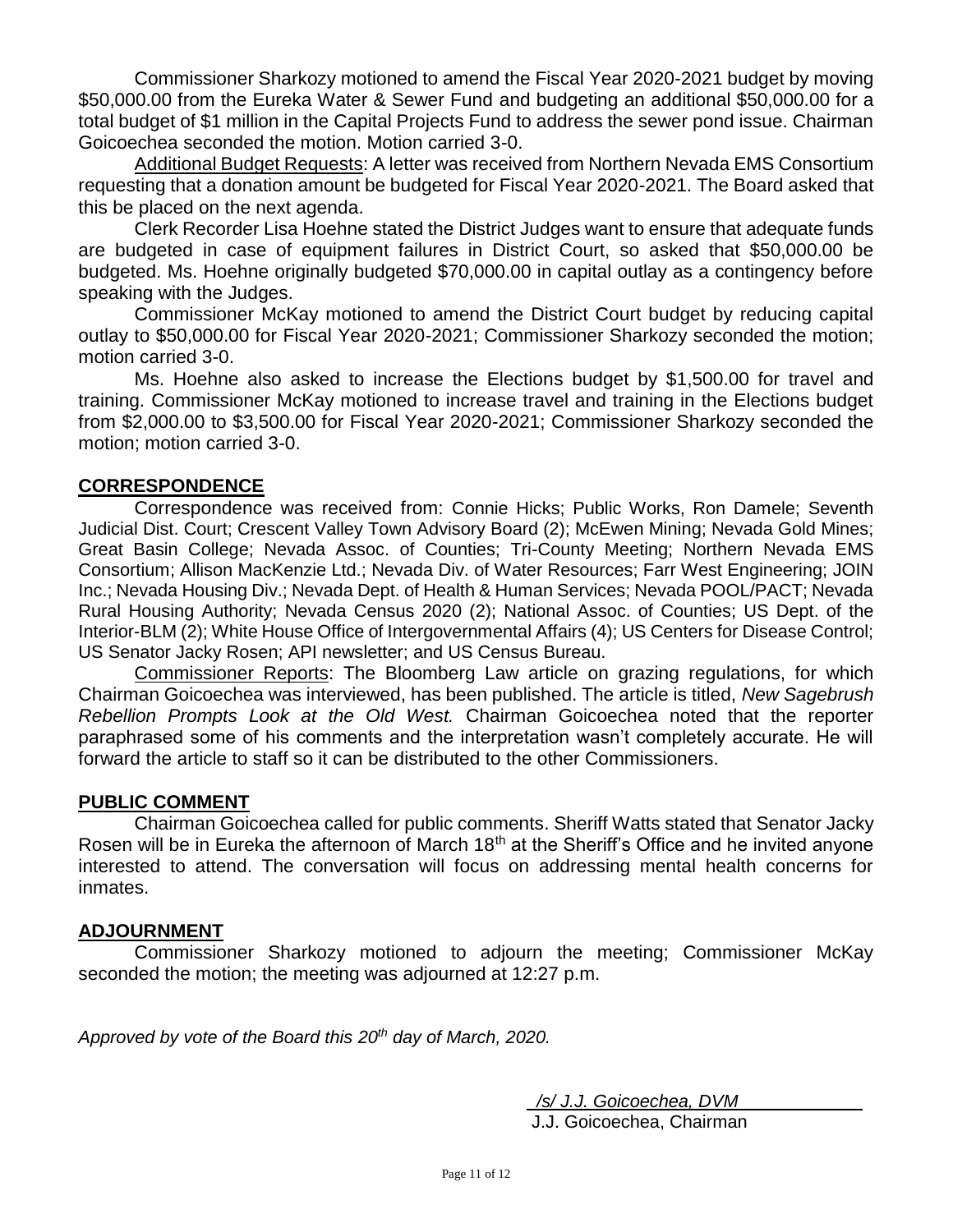Commissioner Sharkozy motioned to amend the Fiscal Year 2020-2021 budget by moving \$50,000.00 from the Eureka Water & Sewer Fund and budgeting an additional \$50,000.00 for a total budget of \$1 million in the Capital Projects Fund to address the sewer pond issue. Chairman Goicoechea seconded the motion. Motion carried 3-0.

Additional Budget Requests: A letter was received from Northern Nevada EMS Consortium requesting that a donation amount be budgeted for Fiscal Year 2020-2021. The Board asked that this be placed on the next agenda.

Clerk Recorder Lisa Hoehne stated the District Judges want to ensure that adequate funds are budgeted in case of equipment failures in District Court, so asked that \$50,000.00 be budgeted. Ms. Hoehne originally budgeted \$70,000.00 in capital outlay as a contingency before speaking with the Judges.

Commissioner McKay motioned to amend the District Court budget by reducing capital outlay to \$50,000.00 for Fiscal Year 2020-2021; Commissioner Sharkozy seconded the motion; motion carried 3-0.

Ms. Hoehne also asked to increase the Elections budget by \$1,500.00 for travel and training. Commissioner McKay motioned to increase travel and training in the Elections budget from \$2,000.00 to \$3,500.00 for Fiscal Year 2020-2021; Commissioner Sharkozy seconded the motion; motion carried 3-0.

### **CORRESPONDENCE**

Correspondence was received from: Connie Hicks; Public Works, Ron Damele; Seventh Judicial Dist. Court; Crescent Valley Town Advisory Board (2); McEwen Mining; Nevada Gold Mines; Great Basin College; Nevada Assoc. of Counties; Tri-County Meeting; Northern Nevada EMS Consortium; Allison MacKenzie Ltd.; Nevada Div. of Water Resources; Farr West Engineering; JOIN Inc.; Nevada Housing Div.; Nevada Dept. of Health & Human Services; Nevada POOL/PACT; Nevada Rural Housing Authority; Nevada Census 2020 (2); National Assoc. of Counties; US Dept. of the Interior-BLM (2); White House Office of Intergovernmental Affairs (4); US Centers for Disease Control; US Senator Jacky Rosen; API newsletter; and US Census Bureau.

Commissioner Reports: The Bloomberg Law article on grazing regulations, for which Chairman Goicoechea was interviewed, has been published. The article is titled, *New Sagebrush Rebellion Prompts Look at the Old West.* Chairman Goicoechea noted that the reporter paraphrased some of his comments and the interpretation wasn't completely accurate. He will forward the article to staff so it can be distributed to the other Commissioners.

### **PUBLIC COMMENT**

Chairman Goicoechea called for public comments. Sheriff Watts stated that Senator Jacky Rosen will be in Eureka the afternoon of March 18<sup>th</sup> at the Sheriff's Office and he invited anyone interested to attend. The conversation will focus on addressing mental health concerns for inmates.

### **ADJOURNMENT**

Commissioner Sharkozy motioned to adjourn the meeting; Commissioner McKay seconded the motion; the meeting was adjourned at 12:27 p.m.

*Approved by vote of the Board this 20th day of March, 2020.* 

 */s/ J.J. Goicoechea, DVM* J.J. Goicoechea, Chairman